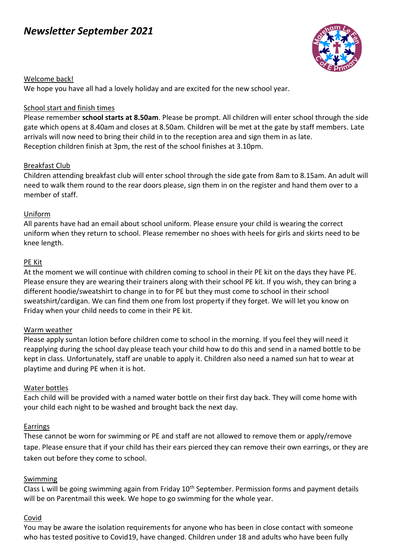# *Newsletter September 2021*



# Welcome back!

We hope you have all had a lovely holiday and are excited for the new school year.

# School start and finish times

Please remember **school starts at 8.50am**. Please be prompt. All children will enter school through the side gate which opens at 8.40am and closes at 8.50am. Children will be met at the gate by staff members. Late arrivals will now need to bring their child in to the reception area and sign them in as late. Reception children finish at 3pm, the rest of the school finishes at 3.10pm.

# Breakfast Club

Children attending breakfast club will enter school through the side gate from 8am to 8.15am. An adult will need to walk them round to the rear doors please, sign them in on the register and hand them over to a member of staff.

# Uniform

All parents have had an email about school uniform. Please ensure your child is wearing the correct uniform when they return to school. Please remember no shoes with heels for girls and skirts need to be knee length.

# PE Kit

At the moment we will continue with children coming to school in their PE kit on the days they have PE. Please ensure they are wearing their trainers along with their school PE kit. If you wish, they can bring a different hoodie/sweatshirt to change in to for PE but they must come to school in their school sweatshirt/cardigan. We can find them one from lost property if they forget. We will let you know on Friday when your child needs to come in their PE kit.

#### Warm weather

Please apply suntan lotion before children come to school in the morning. If you feel they will need it reapplying during the school day please teach your child how to do this and send in a named bottle to be kept in class. Unfortunately, staff are unable to apply it. Children also need a named sun hat to wear at playtime and during PE when it is hot.

#### Water bottles

Each child will be provided with a named water bottle on their first day back. They will come home with your child each night to be washed and brought back the next day.

#### Earrings

These cannot be worn for swimming or PE and staff are not allowed to remove them or apply/remove tape. Please ensure that if your child has their ears pierced they can remove their own earrings, or they are taken out before they come to school.

#### Swimming

Class L will be going swimming again from Friday 10<sup>th</sup> September. Permission forms and payment details will be on Parentmail this week. We hope to go swimming for the whole year.

# Covid

You may be aware the isolation requirements for anyone who has been in close contact with someone who has tested positive to Covid19, have changed. Children under 18 and adults who have been fully